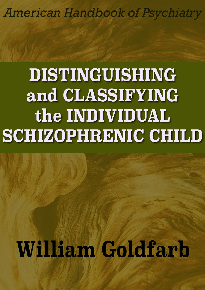**American Handbook of Psychiatry** 

## **DISTINGUISHING** and CLASSIFYING the INDIVIDUAL **SCHIZOPHRENIC CHILD**

# **William Goldfarb**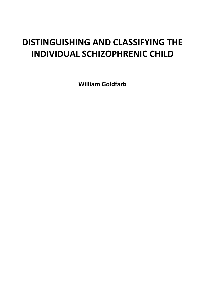### **DISTINGUISHING AND CLASSIFYING THE INDIVIDUAL SCHIZOPHRENIC CHILD**

**William Goldfarb**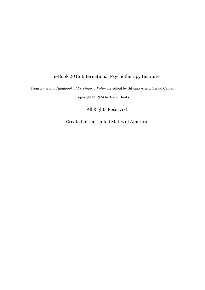#### e-Book 2015 International Psychotherapy Institute

From *American Handbook of Psychiatry: Volume 2* edited by Silvano Arieti, Gerald Caplan

Copyright © 1974 by Basic Books

All Rights Reserved

Created in the United States of America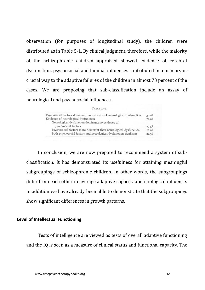observation (for purposes of longitudinal study), the children were distributed as in Table 5-1. By clinical judgment, therefore, while the majority of the schizophrenic children appraised showed evidence of cerebral dysfunction, psychosocial and familial influences contributed in a primary or crucial way to the adaptive failures of the children in almost 73 percent of the cases. We are proposing that sub-classification include an assay of neurological and psychosocial influences.

| TABLE $5-1$ . |  |
|---------------|--|
|               |  |

| Psychosocial factors dominant; no evidence of neurological dysfunction | 30.0% |
|------------------------------------------------------------------------|-------|
| Evidence of neurological dysfunction                                   | 70.0% |
| Neurological dysfunction dominant; no evidence of                      |       |
| psychosocial factors                                                   | 27.5% |
| Psychosocial factors more dominant than neurological dysfunction       | 20.0% |
| Both psychosocial factors and neurological dysfunction signficant      | 22.5% |

In conclusion, we are now prepared to recommend a system of subclassification. It has demonstrated its usefulness for attaining meaningful subgroupings of schizophrenic children. In other words, the subgroupings differ from each other in average adaptive capacity and etiological influence. In addition we have already been able to demonstrate that the subgroupings show significant differences in growth patterns.

#### Level of Intellectual Functioning

Tests of intelligence are viewed as tests of overall adaptive functioning and the IQ is seen as a measure of clinical status and functional capacity. The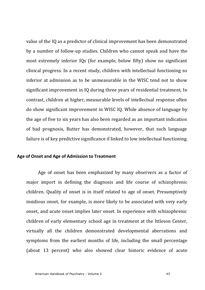value of the IQ as a predictor of clinical improvement has been demonstrated by a number of follow-up studies. Children who cannot speak and have the most extremely inferior IOs (for example, below fifty) show no significant clinical progress. In a recent study, children with intellectual functioning so inferior at admission as to be unmeasurable in the WISC tend not to show significant improvement in IQ during three years of residential treatment, In contrast, children at higher, measurable levels of intellectual response often do show significant improvement in WISC IO. While absence of language by the age of five to six years has also been regarded as an important indication of bad prognosis, Rutter has demonstrated, however, that such language failure is of key predictive significance if linked to low intellectual functioning.

#### Age of Onset and Age of Admission to Treatment

Age of onset has been emphasized by many observers as a factor of major import in defining the diagnosis and life course of schizophrenic children. Quality of onset is in itself related to age of onset. Presumptively insidious onset, for example, is more likely to be associated with very early onset, and acute onset implies later onset. In experience with schizophrenic children of early elementary school age in treatment at the Ittleson Center, virtually all the children demonstrated developmental aberrations and symptoms from the earliest months of life, including the small percentage (about 13 percent) who also showed clear historic evidence of acute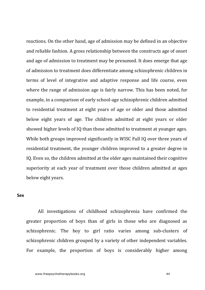reactions. On the other hand, age of admission may be defined in an objective and reliable fashion. A gross relationship between the constructs age of onset and age of admission to treatment may be presumed. It does emerge that age of admission to treatment does differentiate among schizophrenic children in terms of level of integrative and adaptive response and life course, even where the range of admission age is fairly narrow. This has been noted, for example, in a comparison of early school-age schizophrenic children admitted to residential treatment at eight years of age or older and those admitted below eight years of age. The children admitted at eight years or older showed higher levels of IQ than those admitted to treatment at younger ages. While both groups improved significantly in WISC Full IO over three years of residential treatment, the younger children improved to a greater degree in IO. Even so, the children admitted at the older ages maintained their cognitive superiority at each year of treatment over those children admitted at ages below eight years.

#### **Sex**

All investigations of childhood schizophrenia have confirmed the greater proportion of boys than of girls in those who are diagnosed as schizophrenic. The boy to girl ratio varies among sub-clusters of schizophrenic children grouped by a variety of other independent variables. For example, the proportion of boys is considerably higher among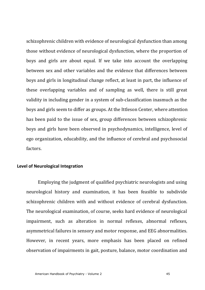schizophrenic children with evidence of neurological dysfunction than among those without evidence of neurological dysfunction, where the proportion of boys and girls are about equal. If we take into account the overlapping between sex and other variables and the evidence that differences between boys and girls in longitudinal change reflect, at least in part, the influence of these overlapping variables and of sampling as well, there is still great validity in including gender in a system of sub-classification inasmuch as the boys and girls seem to differ as groups. At the Ittleson Center, where attention has been paid to the issue of sex, group differences between schizophrenic boys and girls have been observed in psychodynamics, intelligence, level of ego organization, educability, and the influence of cerebral and psychosocial factors.

#### **Level of Neurological Integration**

Employing the judgment of qualified psychiatric neurologists and using neurological history and examination, it has been feasible to subdivide schizophrenic children with and without evidence of cerebral dysfunction. The neurological examination, of course, seeks hard evidence of neurological impairment, such as alteration in normal reflexes, abnormal reflexes, asymmetrical failures in sensory and motor response, and EEG abnormalities. However, in recent years, more emphasis has been placed on refined observation of impairments in gait, posture, balance, motor coordination and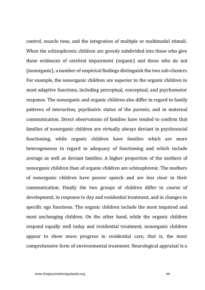control, muscle tone, and the integration of multiple or multimodal stimuli. When the schizophrenic children are grossly subdivided into those who give these evidences of cerebral impairment (organic) and those who do not (nonorganic), a number of empirical findings distinguish the two sub-clusters. For example, the nonorganic children are superior to the organic children in most adaptive functions, including perceptual, conceptual, and psychomotor response. The nonorganic and organic children also differ in regard to family patterns of interaction, psychiatric status of the parents, and in maternal communication. Direct observations of families have tended to confirm that families of nonorganic children are virtually always deviant in psychosocial functioning, while organic children have families which are more heterogeneous in regard to adequacy of functioning and which include average as well as deviant families. A higher proportion of the mothers of nonorganic children than of organic children are schizophrenic. The mothers of nonorganic children have poorer speech and are less clear in their communication. Finally the two groups of children differ in course of development, in response to day and residential treatment, and in changes in specific ego functions. The organic children include the most impaired and most unchanging children. On the other hand, while the organic children respond equally well today and residential treatment, nonorganic children appear to show more progress in residential care, that is, the most comprehensive form of environmental treatment. Neurological appraisal is a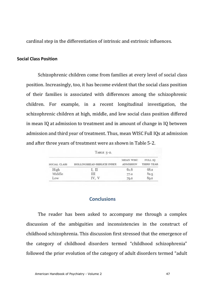cardinal step in the differentiation of intrinsic and extrinsic influences.

#### **Social Class Position**

Schizophrenic children come from families at every level of social class position. Increasingly, too, it has become evident that the social class position of their families is associated with differences among the schizophrenic children. For example, in a recent longitudinal investigation, the schizophrenic children at high, middle, and low social class position differed in mean IO at admission to treatment and in amount of change in IO between admission and third year of treatment. Thus, mean WISC Full IQs at admission and after three years of treatment were as shown in Table 5-2.

TABLE  $5-2$ .

| SOCIAL CLASS | HOLLINGSHEAD-REDLICH INDEX | <b>MEAN WISC</b><br><b>ADMISSION</b> | FULL IO<br>THIRD YEAR |
|--------------|----------------------------|--------------------------------------|-----------------------|
| High         | I. II                      | 61.6                                 | 68.2                  |
| Middle       | ш                          | 77.2                                 | 82.5                  |
| Low          | IV. V                      | 79.2                                 | 89.2                  |

#### **Conclusions**

The reader has been asked to accompany me through a complex discussion of the ambiguities and inconsistencies in the construct of childhood schizophrenia. This discussion first stressed that the emergence of the category of childhood disorders termed "childhood schizophrenia" followed the prior evolution of the category of adult disorders termed "adult"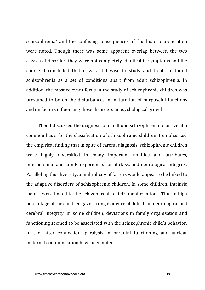schizophrenia" and the confusing consequences of this historic association were noted. Though there was some apparent overlap between the two classes of disorder, they were not completely identical in symptoms and life course. I concluded that it was still wise to study and treat childhood schizophrenia as a set of conditions apart from adult schizophrenia. In addition, the most relevant focus in the study of schizophrenic children was presumed to be on the disturbances in maturation of purposeful functions and on factors influencing these disorders in psychological growth.

Then I discussed the diagnosis of childhood schizophrenia to arrive at a common basis for the classification of schizophrenic children. I emphasized the empirical finding that in spite of careful diagnosis, schizophrenic children were highly diversified in many important abilities and attributes, interpersonal and family experience, social class, and neurological integrity. Paralleling this diversity, a multiplicity of factors would appear to be linked to the adaptive disorders of schizophrenic children. In some children, intrinsic factors were linked to the schizophrenic child's manifestations. Thus, a high percentage of the children gave strong evidence of deficits in neurological and cerebral integrity. In some children, deviations in family organization and functioning seemed to be associated with the schizophrenic child's behavior. In the latter connection, paralysis in parental functioning and unclear maternal communication have been noted.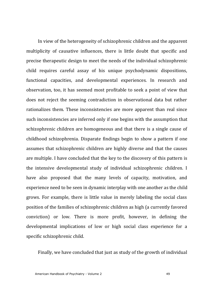In view of the heterogeneity of schizophrenic children and the apparent multiplicity of causative influences, there is little doubt that specific and precise therapeutic design to meet the needs of the individual schizophrenic child requires careful assay of his unique psychodynamic dispositions, functional capacities, and developmental experiences. In research and observation, too, it has seemed most profitable to seek a point of view that does not reject the seeming contradiction in observational data but rather rationalizes them. These inconsistencies are more apparent than real since such inconsistencies are inferred only if one begins with the assumption that schizophrenic children are homogeneous and that there is a single cause of childhood schizophrenia. Disparate findings begin to show a pattern if one assumes that schizophrenic children are highly diverse and that the causes are multiple. I have concluded that the key to the discovery of this pattern is the intensive developmental study of individual schizophrenic children. I have also proposed that the many levels of capacity, motivation, and experience need to be seen in dynamic interplay with one another as the child grows. For example, there is little value in merely labeling the social class position of the families of schizophrenic children as high (a currently favored conviction) or low. There is more profit, however, in defining the developmental implications of low or high social class experience for a specific schizophrenic child.

Finally, we have concluded that just as study of the growth of individual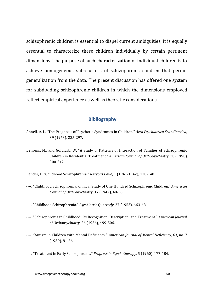schizophrenic children is essential to dispel current ambiguities, it is equally essential to characterize these children individually by certain pertinent dimensions. The purpose of such characterization of individual children is to achieve homogeneous sub-clusters of schizophrenic children that permit generalization from the data. The present discussion has offered one system for subdividing schizophrenic children in which the dimensions employed reflect empirical experience as well as theoretic considerations.

#### **Bibliography**

- Annell, A. L. "The Prognosis of Psychotic Syndromes in Children." *Acta Psychiatrica Scandinavica*, 39 (1963), 235-297.
- Behrens, M., and Goldfarb, W. "A Study of Patterns of Interaction of Families of Schizophrenic Children in Residential Treatment." *American Journal of Orthopsychiatry*, 28 (1958), 300-312.

Bender, L. "Childhood Schizophrenia." *Nervous Child*, 1 (1941-1942), 138-140.

- ----. "Childhood Schizophrenia: Clinical Study of One Hundred Schizophrenic Children." *American Journal of Orthopsychiatry*, 17 (1947), 40-56.
- ----. "Childhood Schizophrenia." *Psychiatric Quarterly*, 27 (1953), 663-681.
- ----. "Schizophrenia in Childhood: Its Recognition, Description, and Treatment." *American Journal of Orthopsychiatry*, 26 (1956), 499-506.
- ----. "Autism in Children with Mental Deficiency." *American Journal of Mental Deficiency*, 63, no. 7 (1959), 81-86.
- ----. "Treatment in Early Schizophrenia." *Progress in Psychotherapy*, 5 (1960), 177-184.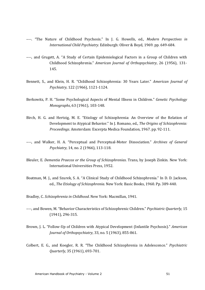- ----. "The Nature of Childhood Psychosis." In J. G. Howells, ed., *Modern Perspectives in International Child Psychiatry*. Edinburgh: Oliver & Boyd, 1969. pp. 649-684.
- ----, and Grugett, A. "A Study of Certain Epidemiological Factors in a Group of Children with Childhood Schizophrenia." *American Journal of Orthopsychiatry*, 26 (1956), 131- 145.
- Bennett, S., and Klein, H. R. "Childhood Schizophrenia: 30 Years Later." *American Journal of Psychiatry*, 122 (1966), 1121-1124.
- Berkowitz, P. H. "Some Psychological Aspects of Mental Illness in Children." *Genetic Psychology Monographs*, 63 (1961), 103-148.
- Birch, H. G. and Hertzig, M. E. "Etiology of Schizophrenia: An Overview of the Relation of Development to Atypical Behavior." In J. Romano, ed., *The Origins of Schizophrenia: Proceedings*. Amsterdam: Excerpta Medica Foundation, 1967. pp. 92-111.
- ----, and Walker, H. A. "Perceptual and Perceptual-Motor Dissociation." Archives of General *Psychiatry*, 14, no. 2 (1966), 113-118.
- Bleuler, E. *Dementia Praecox or the Group of Schizophrenias*. Trans, by Joseph Zinkin. New York: International Universities Press, 1952.
- Boatman, M. J., and Szurek, S. A. "A Clinical Study of Childhood Schizophrenia." In D. D. Jackson, ed., *The Etiology of Schizophrenia*. New York: Basic Books, 1960. Pp. 389-440.

Bradley, C. *Schizophrenia in Childhood*. New York: Macmillan, 1941.

- ----, and Bowen, M. "Behavior Characteristics of Schizophrenic Children." *Psychiatric Quarterly*, 15 (1941), 296-315.
- Brown, J. L. "Follow-Up of Children with Atypical Development (Infantile Psychosis)." *American Journal of Orthopsychiatry*, 33, no. 5 (1963), 855-861.
- Colbert, E. G., and Koegler, R. R. "The Childhood Schizophrenia in Adolescence." *Psychiatric Quarterly*, 35 (1961), 693-701.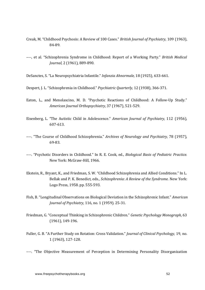- Creak, M. "Childhood Psychosis: A Review of 100 Cases." *British Journal of Psychiatry*, 109 (1963), 84-89.
- ----, et al. "Schizophrenia Syndrome in Childhood: Report of a Working Party." *British Medical Journal,* 2 (1961), 889-890.
- DeSanctes, S. "La Neuropsychiatria Infantile." *Infanzia Ahnormale*, 18 (1925), 633-661.
- Despert, J. L. "Schizophrenia in Childhood." *Psychiatric Quarterly*, 12 (1938), 366-371.
- Eaton, L., and Menolascino, M. D. "Psychotic Reactions of Childhood: A Follow-Up Study." *American Journal Orthopsychiatry,* 37 (1967), 521-529.
- Eisenberg, L. "The Autistic Child in Adolescence." *American Journal of Psychiatry*, 112 (1956), 607-613.
- ----. "The Course of Childhood Schizophrenia." *Archives of Neurology and Psychiatry*, 78 (1957), 69-83.
- ----. "Psychotic Disorders in Childhood." In R. E. Cook, ed., *Biological Basis of Pediatric Practice.* New York: McGraw-Hill, 1966.
- Ekstein, R., Bryant, K., and Friedman, S. W. "Childhood Schizophrenia and Allied Conditions." In L. Bellak and P. K. Benedict, eds., *Schizophrenia: A Review of the Syndrome*. New York: Logo Press, 1958. pp. 555-593.
- Fish, B. "Longitudinal Observations on Biological Deviation in the Schizophrenic Infant." *American Journal of Psychiatry,* 116, no. 1 (1959). 25-31.
- Friedman, G. "Conceptual Thinking in Schizophrenic Children." Genetic Psychology Monograph, 63 (1961), 149-196.
- Fuller, G. B. "A Further Study on Rotation: Cross Validation." *Journal of Clinical Psychology*, 19, no. 1 (1963), 127-128.

----. "The Objective Measurement of Perception in Determining Personality Disorganization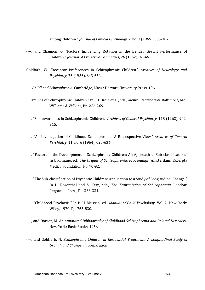among Children." *Journal of Clinical Psychology*, 2, no. 3 (1965), 305-307.

- ----, and Chagnon, G. "Factors Influencing Rotation in the Bender Gestalt Performance of Children." *Journal of Projective Techniques*, 26 (1962). 36-46.
- Goldfarb, W. "Receptor Preferences in Schizophrenic Children." *Archives of Neurology and Psychiatry*, 76 (1956), 643-652.
- ----.*Childhood Schizophrenia*. Cambridge, Mass.: Harvard University Press, 1961.
- . "Families of Schizophrenic Children." In L. C. Kolb et al., eds., *Mental Retardation*. Baltimore, Md.: Williams & Wilkins, Pp. 256-269.
- ----. "Self-awareness in Schizophrenic Children." *Archives of General Psychiatry*, 118 (1962), 902-915.
- ----. "An Investigation of Childhood Schizophrenia: A Retrospective View." Archives of General *Psychiatry*, 11, no. 6 (1964), 620-634.
- ----. "Factors in the Development of Schizophrenic Children: An Approach to Sub-classification." In I. Romano, ed., *The Origins of Schizophrenia: Proceedings*. Amsterdam: Excerpta Medica Foundation, Pp. 70-92.
- ----. "The Sub-classification of Psychotic Children: Application to a Study of Longitudinal Change." In D. Rosenthal and S. Kety, eds., *The Transmission of Schizophrenia*. London: Pergamon Press, Pp. 333-334.
- ----. "Childhood Psychosis." In P. H. Mussen, ed., *Manual of Child Psychology*. Vol. 2. New York: Wiley, 1970. Pp. 765-830.
- ----, and Dorsen, M. An Annotated Bibliography of Childhood Schizophrenia and Related Disorders. New York: Basic Books, 1956.
- ----, and Goldfarb, N. *Schizophrenic Children in Residential Treatment:* A Longitudinal Study of *Growth and Change*. In preparation.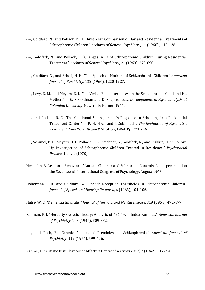- ----, Goldfarb, N., and Pollack, R. "A Three Year Comparison of Day and Residential Treatments of Schizophrenic Children." Archives of General Psychiatry, 14 (1966), 119-128.
- ----, Goldfarb, N., and Pollack, R. "Changes in IQ of Schizophrenic Children During Residential Treatment." *Archives of General Psychiatry*, 21 (1969), 673-690.
- ----, Goldfarb, N., and Scholl, H. H. "The Speech of Mothers of Schizophrenic Children." *American Journal of Psychiatry*, 122 (1966), 1220-1227.
- ----, Levy, D. M., and Meyers, D. I. "The Verbal Encounter between the Schizophrenic Child and His Mother." In G. S. Goldman and D. Shapiro, eds., *Developments in Psychoanalysis at Columbia University*. New York: Hafner, 1966.
- ----, and Pollack, R. C. "The Childhood Schizophrenic's Response to Schooling in a Residential Treatment Center." In P. H. Hoch and I. Zubin, eds., *The Evaluation of Psychiatric Treatment*. New York: Grune & Stratton, 1964. Pp. 221-246.
- ----, Schimel, P. L., Meyers, D. I., Pollack, R. C., Zeichner, G., Goldfarb, N., and Fishkin, H. "A Follow-Up Investigation of Schizophrenic Children Treated in Residence." *Psychosocial Process*, 1, no. 1 (1970).
- Hermelin, B. Response Behavior of Autistic Children and Subnormal Controls. Paper presented to the Seventeenth International Congress of Psychology, August 1963.
- Hoberman, S. B., and Goldfarb, W. "Speech Reception Thresholds in Schizophrenic Children." *Journal of Speech and Hearing Research,* 6 (1963), 101-106.
- Hulse, W. C. "Dementia Infantilis." *Journal of Nervous and Mental Disease*, 319 (1954), 471-477.
- Kallman, F. J. "Heredity-Genetic Theory: Analysis of 691 Twin Index Families." *American Journal of Psychiatry*, 103 (1946). 309-332.
- ----, and Roth, B. "Genetic Aspects of Preadolescent Schizophrenia." American Journal of *Psychiatry*, 112 (1956), 599-606.

Kanner, L. "Autistic Disturbances of Affective Contact." Nervous Child, 2 (1942), 217-250.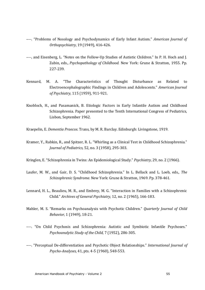- ----. "Problems of Nosology and Psychodynamics of Early Infant Autism." *American Journal of Orthopsychiatry*, 19 (1949), 416-426.
- ----, and Eisenberg, L. "Notes on the Follow-Up Studies of Autistic Children." In P. H. Hoch and J. Zubin, eds., *Psychopathology of Childhood*. New York: Grune & Stratton, 1955. Pp. 227-239.
- Kennard, M. A. "The Characteristics of Thought Disturbance as Related to Electroencephalographic Findings in Children and Adolescents." *American Journal of Psychiatry,* 115 (1959), 911-921.
- Knobloch, H., and Pasamanick, B. Etiologic Factors in Early Infantile Autism and Childhood Schizophrenia. Paper presented to the Tenth International Congress of Pediatrics, Lisbon, Sentember 1962.

Kraepelin, E. *Dementia Praecox*. Trans, by M. R. Barclay. Edinburgh: Livingstone, 1919.

- Kramer, Y., Rabkin, R., and Spitzer, R. L. "Whirling as a Clinical Test in Childhood Schizophrenia." *Journal of Pediatrics,* 52, no. 3 (1958), 295-303.
- Kringlen, E. "Schizophrenia in Twins: An Epidemiological Study." *Psychiatry*, 29, no. 2 (1966).
- Laufer, M. W., and Gair, D. S. "Childhood Schizophrenia." In L. Bellack and L. Loeb, eds., *The Schizophrenic Syndrome.* New York: Grune & Stratton, 1969. Pp. 378-461.
- Lennard, H. L., Beaulieu, M. R., and Embrey, M. G. "Interaction in Families with a Schizophrenic Child." Archives of General Psychiatry, 12, no. 2 (1965), 166-183.
- Mahler, M. S. "Remarks on Psychoanalysis with Psychotic Children." *Quarterly Journal of Child Behavior*, 1 (1949), 18-21.
- ----. "On Child Psychosis and Schizophrenia: Autistic and Symbiotic Infantile Psychoses." *Psychoanalytic Study of the Child, 7 (1952), 286-305.*
- ----. "Perceptual De-differentiation and Psychotic Object Relationships." *International Journal of Psycho-Analyses,* 41, pts. 4-5 (1960), 548-553.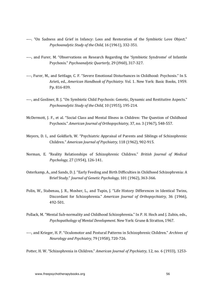- ----. "On Sadness and Grief in Infancy: Loss and Restoration of the Symbiotic Love Object." *Psychoanalytic Study of the Child,* 16 (1961), 332-351.
- ----, and Furer, M. "Observations on Research Regarding the 'Symbiotic Syndrome' of Infantile Psychosis." *Psychoanalytic Quarterly,* 29 (i960), 317-327.
- ----, Furer, M., and Settlage, C. F. "Severe Emotional Disturbances in Childhood: Psychosis." In S. Arieti, ed., *American Handbook of Psychiatry.* Vol. 1. New York: Basic Books, 1959. Pp. 816-839.
- ----, and Gosliner, B. J. "On Symbiotic Child Psychosis: Genetic, Dynamic and Restitutive Aspects." *Psychoanalytic Study of the Child, 10 (1955), 195-214.*
- McDermott, I. F., et al. "Social Class and Mental Illness in Children: The Question of Childhood Psychosis." American Journal of Orthopsychiatry, 37, no. 3 (1967), 548-557.
- Meyers, D. I., and Goldfarb, W. "Psychiatric Appraisal of Parents and Siblings of Schizophrenic Children." American Journal of Psychiatry, 118 (1962), 902-915.
- Norman, E. "Reality Relationships of Schizophrenic Children." *British Journal of Medical Psychology,* 27 (1954), 126-141.
- Osterkamp, A., and Sands, D. J. "Early Feeding and Birth Difficulties in Childhood Schizophrenia: A Brief Study." *Journal of Genetic Psychology*, 101 (1962), 363-366.
- Polin, W., Stabenau, J. R., Mosher, L., and Tupin, J. "Life History Differences in Identical Twins, Discordant for Schizophrenia." *American Journal of Orthopsychiatry*, 36 (1966), 492-501.
- Pollack, M. "Mental Sub-normality and Childhood Schizophrenia." In P. H. Hoch and J. Zubin, eds., *Psychopathology of Mental Development.* New York: Grune & Stratton, 1967.
- ----, and Krieger, H. P. "Oculomotor and Postural Patterns in Schizophrenic Children." *Archives of Neurology and Psychiatry,* 79 (1958), 720-726.

Potter, H. W. "Schizophrenia in Children." *American Journal of Psychiatry*, 12, no. 6 (1933), 1253-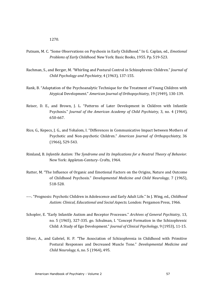1270.

- Putnam, M. C. "Some Observations on Psychosis in Early Childhood." In G. Caplan, ed., *Emotional Problems of Early Childhood.* New York: Basic Books, 1955. Pp. 519-523.
- Rachman, S., and Berger, M. "Whirling and Postural Control in Schizophrenic Children." *Journal of Child Psychology and Psychiatry,* 4 (1963), 137-155.
- Rank, B. "Adaptation of the Psychoanalytic Technique for the Treatment of Young Children with Atypical Development." *American Journal of Orthopsychiatry,* 19 (1949), 130-139.
- Reiser, D. E., and Brown, J. L. "Patterns of Later Development in Children with Infantile Psychosis." *Journal of the American Academy of Child Psychiatry*, 3, no. 4 (1964), 650-667.
- Rice, G., Kepecs, J. G., and Yohalom, I. "Differences in Communicative Impact between Mothers of Psychotic and Non-psychotic Children." *American Journal of Orthopsychiatry*, 36 (1966), 529-543.
- Rimland, B. *Infantile Autism: The Syndrome and Its Implications for a Neutral Theory of Behavior.* New York: Appleton-Century- Crofts, 1964.
- Rutter, M. "The Influence of Organic and Emotional Factors on the Origins, Nature and Outcome of Childhood Psychosis." *Developmental Medicine and Child Neurology*, 7 (1965), 518-528.
- ----. "Prognosis: Psychotic Children in Adolescence and Early Adult Life." In J. Wing, ed., *Childhood* Autism: Clinical, Educational and Social Aspects. London: Pergamon Press, 1966.
- Schopler, E. "Early Infantile Autism and Receptor Processes." *Archives of General Psychiatry*, 13, no. 5 (1965), 327-335. go. Schulman, I. "Concept Formation in the Schizophrenic Child: A Study of Ego Development." *Journal of Clinical Psychology*, 9 (1953), 11-15.
- Silver, A., and Gabriel, H. P. "The Association of Schizophrenia in Childhood with Primitive Postural Responses and Decreased Muscle Tone." *Developmental Medicine and Child Neurology,* 6, no. 5 (1964), 495.